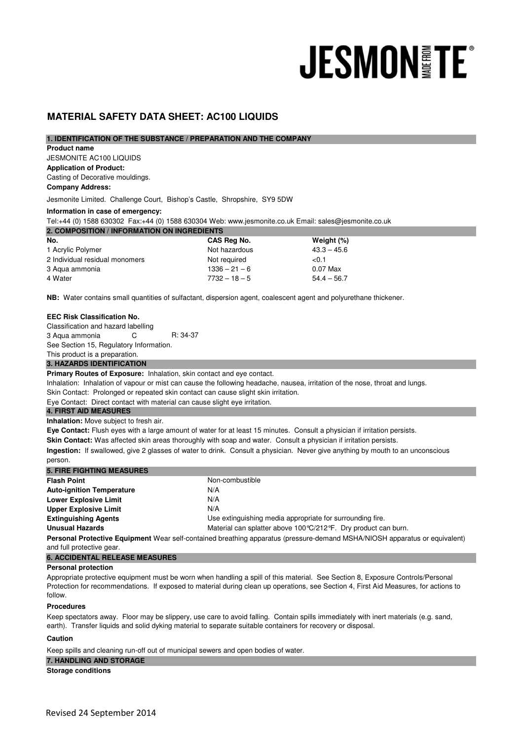# **JESMON TE®**

# **MATERIAL SAFETY DATA SHEET: AC100 LIQUIDS**

# **1. IDENTIFICATION OF THE SUBSTANCE / PREPARATION AND THE COMPANY**

#### **Product name**

JESMONITE AC100 LIQUIDS **Application of Product:** 

Casting of Decorative mouldings. **Company Address:**

Jesmonite Limited. Challenge Court, Bishop's Castle, Shropshire, SY9 5DW

# **Information in case of emergency:**

Tel:+44 (0) 1588 630302 Fax:+44 (0) 1588 630304 Web: www.jesmonite.co.uk Email: sales@jesmonite.co.uk

| 2. COMPOSITION / INFORMATION ON INGREDIENTS |                 |               |  |
|---------------------------------------------|-----------------|---------------|--|
| No.                                         | CAS Reg No.     | Weight (%)    |  |
| 1 Acrylic Polymer                           | Not hazardous   | $43.3 - 45.6$ |  |
| 2 Individual residual monomers              | Not required    | < 0.1         |  |
| 3 Agua ammonia                              | $1336 - 21 - 6$ | 0.07 Max      |  |
| 4 Water                                     | $7732 - 18 - 5$ | $54.4 - 56.7$ |  |

**NB:** Water contains small quantities of sulfactant, dispersion agent, coalescent agent and polyurethane thickener.

# **EEC Risk Classification No.**

Classification and hazard labelling 3 Aqua ammonia C R: 34-37 See Section 15, Regulatory Information. This product is a preparation. **3. HAZARDS IDENTIFICATION** 

Primary Routes of Exposure: Inhalation, skin contact and eye contact.

Inhalation: Inhalation of vapour or mist can cause the following headache, nausea, irritation of the nose, throat and lungs.

Skin Contact: Prolonged or repeated skin contact can cause slight skin irritation.

Eye Contact: Direct contact with material can cause slight eye irritation.

# **4. FIRST AID MEASURES**

**Inhalation:** Move subject to fresh air.

**Eye Contact:** Flush eyes with a large amount of water for at least 15 minutes. Consult a physician if irritation persists.

**Skin Contact:** Was affected skin areas thoroughly with soap and water. Consult a physician if irritation persists.

**Ingestion:** If swallowed, give 2 glasses of water to drink. Consult a physician. Never give anything by mouth to an unconscious person.

| <b>5. FIRE FIGHTING MEASURES</b> |                                                                  |
|----------------------------------|------------------------------------------------------------------|
| <b>Flash Point</b>               | Non-combustible                                                  |
| <b>Auto-ignition Temperature</b> | N/A                                                              |
| <b>Lower Explosive Limit</b>     | N/A                                                              |
| <b>Upper Explosive Limit</b>     | N/A                                                              |
| <b>Extinguishing Agents</b>      | Use extinguishing media appropriate for surrounding fire.        |
| <b>Unusual Hazards</b>           | Material can splatter above 100 °C/212 °F. Dry product can burn. |

**Personal Protective Equipment** Wear self-contained breathing apparatus (pressure-demand MSHA/NIOSH apparatus or equivalent) and full protective gear.

# **6. ACCIDENTAL RELEASE MEASURES**

# **Personal protection**

Appropriate protective equipment must be worn when handling a spill of this material. See Section 8, Exposure Controls/Personal Protection for recommendations. If exposed to material during clean up operations, see Section 4, First Aid Measures, for actions to follow.

#### **Procedures**

Keep spectators away. Floor may be slippery, use care to avoid falling. Contain spills immediately with inert materials (e.g. sand, earth). Transfer liquids and solid dyking material to separate suitable containers for recovery or disposal.

#### **Caution**

Keep spills and cleaning run-off out of municipal sewers and open bodies of water.

**Storage conditions 7. HANDLING AND STORAGE**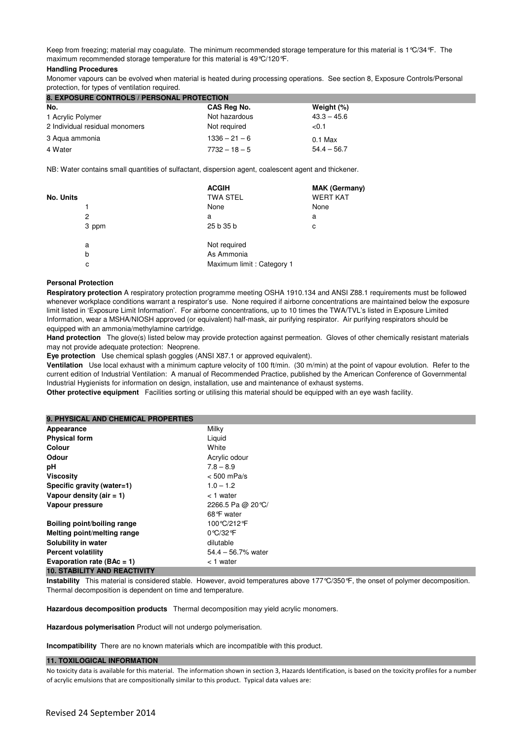Keep from freezing; material may coagulate. The minimum recommended storage temperature for this material is 1°C/34°F. The maximum recommended storage temperature for this material is 49°C/120°F.

#### **Handling Procedures**

Monomer vapours can be evolved when material is heated during processing operations. See section 8, Exposure Controls/Personal protection, for types of ventilation required.

| <b>8. EXPOSURE CONTROLS / PERSONAL PROTECTION</b> |                 |               |
|---------------------------------------------------|-----------------|---------------|
| No.                                               | CAS Reg No.     | Weight (%)    |
| 1 Acrylic Polymer                                 | Not hazardous   | $43.3 - 45.6$ |
| 2 Individual residual monomers                    | Not required    | < 0.1         |
| 3 Agua ammonia                                    | $1336 - 21 - 6$ | $0.1$ Max     |
| 4 Water                                           | $7732 - 18 - 5$ | $54.4 - 56.7$ |

NB: Water contains small quantities of sulfactant, dispersion agent, coalescent agent and thickener.

|           | <b>ACGIH</b>              | <b>MAK (Germany)</b> |
|-----------|---------------------------|----------------------|
| No. Units | <b>TWA STEL</b>           | <b>WERT KAT</b>      |
|           | None                      | None                 |
| 2         | a                         | a                    |
| 3 ppm     | 25 b 35 b                 | с                    |
| a         | Not required              |                      |
| b         | As Ammonia                |                      |
| с         | Maximum limit: Category 1 |                      |

#### **Personal Protection**

**Respiratory protection** A respiratory protection programme meeting OSHA 1910.134 and ANSI Z88.1 requirements must be followed whenever workplace conditions warrant a respirator's use. None required if airborne concentrations are maintained below the exposure limit listed in 'Exposure Limit Information'. For airborne concentrations, up to 10 times the TWA/TVL's listed in Exposure Limited Information, wear a MSHA/NIOSH approved (or equivalent) half-mask, air purifying respirator. Air purifying respirators should be equipped with an ammonia/methylamine cartridge.

**Hand protection** The glove(s) listed below may provide protection against permeation. Gloves of other chemically resistant materials may not provide adequate protection: Neoprene.

**Eye protection** Use chemical splash goggles (ANSI X87.1 or approved equivalent).

**Ventilation** Use local exhaust with a minimum capture velocity of 100 ft/min. (30 m/min) at the point of vapour evolution. Refer to the current edition of Industrial Ventilation: A manual of Recommended Practice, published by the American Conference of Governmental Industrial Hygienists for information on design, installation, use and maintenance of exhaust systems.

**Other protective equipment** Facilities sorting or utilising this material should be equipped with an eye wash facility.

| <b>9. PHYSICAL AND CHEMICAL PROPERTIES</b> |
|--------------------------------------------|
|--------------------------------------------|

| Appearance                          | Milky                 |
|-------------------------------------|-----------------------|
| <b>Physical form</b>                | Liguid                |
| Colour                              | White                 |
| Odour                               | Acrylic odour         |
| рH                                  | $7.8 - 8.9$           |
| <b>Viscosity</b>                    | $< 500$ mPa/s         |
| Specific gravity (water=1)          | $1.0 - 1.2$           |
| Vapour density (air $= 1$ )         | < 1 water             |
| Vapour pressure                     | 2266.5 Pa @ 20 °C/    |
|                                     | 68°F water            |
| Boiling point/boiling range         | 100 °C/212 °F         |
| Melting point/melting range         | 0 °C/32 °F            |
| Solubility in water                 | dilutable             |
| <b>Percent volatility</b>           | $54.4 - 56.7\%$ water |
| Evaporation rate ( $BAc = 1$ )      | < 1 water             |
| <b>10. STABILITY AND REACTIVITY</b> |                       |

**Instability** This material is considered stable. However, avoid temperatures above 177°C/350°F, the onset of polymer decomposition. Thermal decomposition is dependent on time and temperature.

**Hazardous decomposition products** Thermal decomposition may yield acrylic monomers.

**Hazardous polymerisation** Product will not undergo polymerisation.

**Incompatibility** There are no known materials which are incompatible with this product.

#### **11. TOXILOGICAL INFORMATION**

No toxicity data is available for this material. The information shown in section 3, Hazards Identification, is based on the toxicity profiles for a number of acrylic emulsions that are compositionally similar to this product. Typical data values are: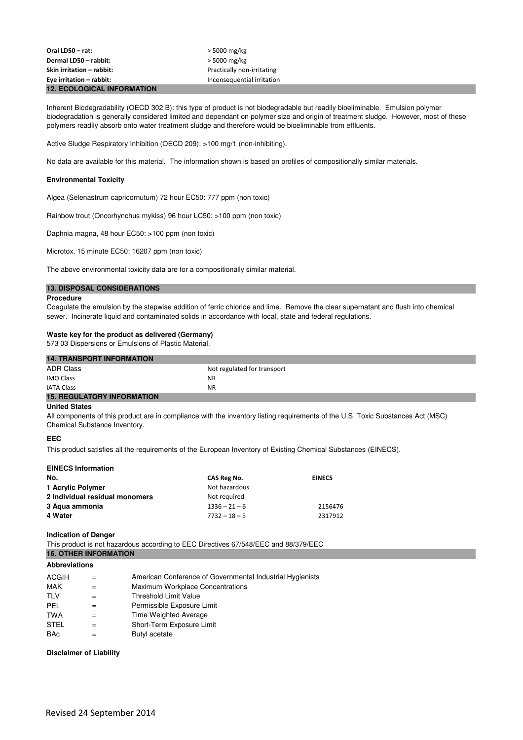Inherent Biodegradability (OECD 302 B): this type of product is not biodegradable but readily bioeliminable. Emulsion polymer biodegradation is generally considered limited and dependant on polymer size and origin of treatment sludge. However, most of these polymers readily absorb onto water treatment sludge and therefore would be bioeliminable from effluents.

Active Sludge Respiratory Inhibition (OECD 209): >100 mg/1 (non-inhibiting).

No data are available for this material. The information shown is based on profiles of compositionally similar materials.

# **Environmental Toxicity**

Algea (Selenastrum capricornutum) 72 hour EC50: 777 ppm (non toxic)

Rainbow trout (Oncorhynchus mykiss) 96 hour LC50: >100 ppm (non toxic)

Daphnia magna, 48 hour EC50: >100 ppm (non toxic)

Microtox, 15 minute EC50: 16207 ppm (non toxic)

The above environmental toxicity data are for a compositionally similar material.

# **13. DISPOSAL CONSIDERATIONS**

#### **Procedure**

Coagulate the emulsion by the stepwise addition of ferric chloride and lime. Remove the clear supernatant and flush into chemical sewer. Incinerate liquid and contaminated solids in accordance with local, state and federal regulations.

# **Waste key for the product as delivered (Germany)**

573 03 Dispersions or Emulsions of Plastic Material.

| <b>14. TRANSPORT INFORMATION</b>  |                             |  |
|-----------------------------------|-----------------------------|--|
| <b>ADR Class</b>                  | Not regulated for transport |  |
| <b>IMO Class</b>                  | <b>NR</b>                   |  |
| <b>IATA Class</b>                 | <b>NR</b>                   |  |
| <b>15. REGULATORY INFORMATION</b> |                             |  |

#### **United States**

All components of this product are in compliance with the inventory listing requirements of the U.S. Toxic Substances Act (MSC) Chemical Substance Inventory.

# **EEC**

This product satisfies all the requirements of the European Inventory of Existing Chemical Substances (EINECS).

| <b>EINECS Information</b>      |                 |               |
|--------------------------------|-----------------|---------------|
| No.                            | CAS Reg No.     | <b>EINECS</b> |
| 1 Acrylic Polymer              | Not hazardous   |               |
| 2 Individual residual monomers | Not required    |               |
| 3 Agua ammonia                 | $1336 - 21 - 6$ | 2156476       |
| 4 Water                        | $7732 - 18 - 5$ | 2317912       |

#### **Indication of Danger**

This product is not hazardous according to EEC Directives 67/548/EEC and 88/379/EEC **16. OTHER INFORMATION**

#### **Abbreviations**

| ACGIH       | $=$ | American Conference of Governmental Industrial Hygienists |
|-------------|-----|-----------------------------------------------------------|
| <b>MAK</b>  |     | Maximum Workplace Concentrations                          |
| <b>TLV</b>  |     | <b>Threshold Limit Value</b>                              |
| PEL         |     | Permissible Exposure Limit                                |
| <b>TWA</b>  |     | Time Weighted Average                                     |
| <b>STEL</b> |     | Short-Term Exposure Limit                                 |
| <b>BAc</b>  |     | Butyl acetate                                             |

#### **Disclaimer of Liability**